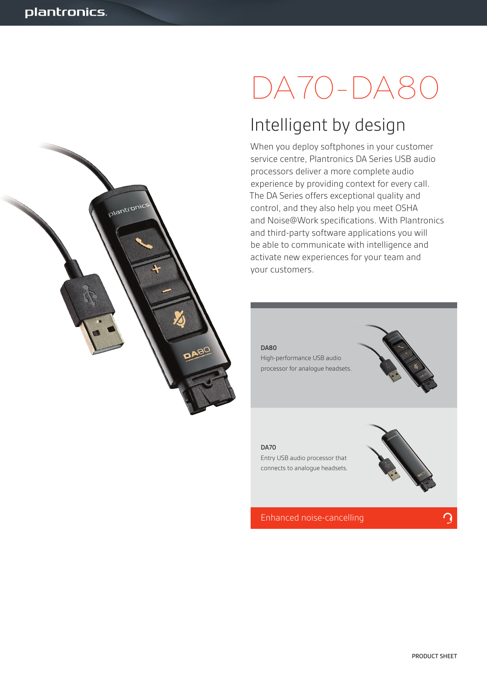alantronic

# DA70-DA80

# Intelligent by design

When you deploy softphones in your customer service centre, Plantronics DA Series USB audio processors deliver a more complete audio experience by providing context for every call. The DA Series offers exceptional quality and control, and they also help you meet OSHA and Noise@Work specifications. With Plantronics and third-party software applications you will be able to communicate with intelligence and activate new experiences for your team and your customers.

### DA80

High-performance USB audio processor for analogue headsets.



### DA70

Entry USB audio processor that connects to analogue headsets.



Enhanced noise-cancelling